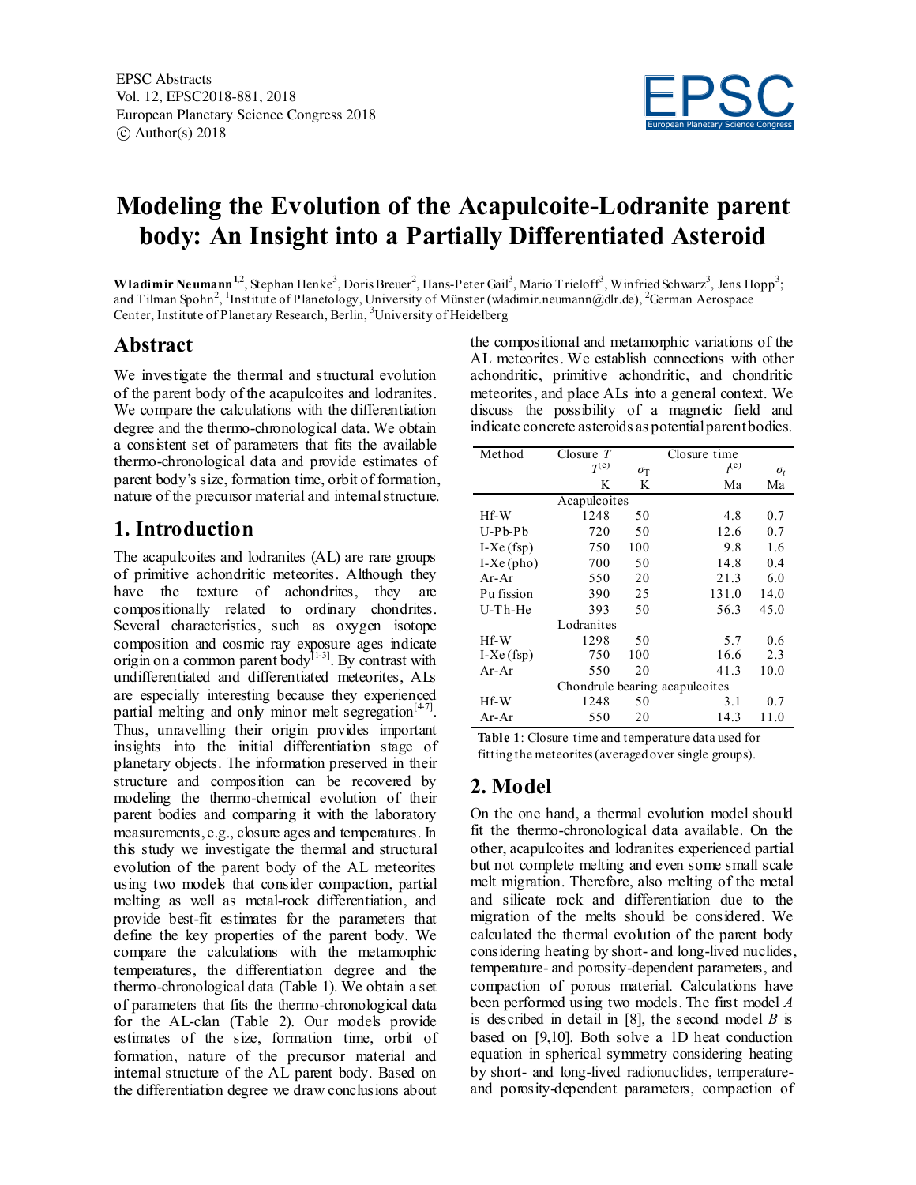

# **Modeling the Evolution of the Acapulcoite-Lodranite parent body: An Insight into a Partially Differentiated Asteroid**

Wladimir Neumann<sup>1,2</sup>, Stephan Henke<sup>3</sup>, Doris Breuer<sup>2</sup>, Hans-Peter Gail<sup>3</sup>, Mario Trieloff<sup>3</sup>, Winfried Schwarz<sup>3</sup>, Jens Hopp<sup>3</sup>; and Tilman Spohn<sup>2</sup>, <sup>1</sup>Institute of Planetology, University of Münster (wladimir.neumann@dlr.de), <sup>2</sup>German Aerospace Center, Institute of Planetary Research, Berlin, <sup>3</sup>University of Heidelberg

### **Abstract**

We investigate the thermal and structural evolution of the parent body of the acapulcoites and lodranites. We compare the calculations with the differentiation degree and the thermo-chronological data. We obtain a consistent set of parameters that fits the available thermo-chronological data and provide estimates of parent body's size, formation time, orbit of formation, nature of the precursor material and internal structure.

## **1. Introduction**

The acapulcoites and lodranites (AL) are rare groups of primitive achondritic meteorites. Although they have the texture of achondrites, they are compositionally related to ordinary chondrites. Several characteristics, such as oxygen isotope composition and cosmic ray exposure ages indicate origin on a common parent body<sup>[1-3]</sup>. By contrast with undifferentiated and differentiated meteorites, ALs are especially interesting because they experienced partial melting and only minor melt segregation $[47]$ . Thus, unravelling their origin provides important insights into the initial differentiation stage of planetary objects. The information preserved in their structure and composition can be recovered by modeling the thermo-chemical evolution of their parent bodies and comparing it with the laboratory measurements, e.g., closure ages and temperatures. In this study we investigate the thermal and structural evolution of the parent body of the AL meteorites using two models that consider compaction, partial melting as well as metal-rock differentiation, and provide best-fit estimates for the parameters that define the key properties of the parent body. We compare the calculations with the metamorphic temperatures, the differentiation degree and the thermo-chronological data (Table 1). We obtain a set of parameters that fits the thermo-chronological data for the AL-clan (Table 2). Our models provide estimates of the size, formation time, orbit of formation, nature of the precursor material and internal structure of the AL parent body. Based on the differentiation degree we draw conclusions about

the compositional and metamorphic variations of the AL meteorites. We establish connections with other achondritic, primitive achondritic, and chondritic meteorites, and place ALs into a general context. We discuss the possibility of a magnetic field and indicate concrete asteroids as potential parent bodies.

| Method                         | Closure $T$  |                  | Closure time |              |  |  |
|--------------------------------|--------------|------------------|--------------|--------------|--|--|
|                                | $\tau^{(c)}$ | $\sigma_{\rm T}$ | $t^{(c)}$    | $\sigma_{t}$ |  |  |
|                                | K            | K                | Ma           | Ma           |  |  |
|                                | Acapulcoites |                  |              |              |  |  |
| Hf-W                           | 1248         | 50               | 4.8          | 0.7          |  |  |
| U-Pb-Pb                        | 720          | 50               | 12.6         | 0.7          |  |  |
| $I-Xe(fsp)$                    | 750          | 100              | 9.8          | 1.6          |  |  |
| $I-Xe$ (pho)                   | 700          | 50               | 14.8         | 0.4          |  |  |
| $Ar-Ar$                        | 550          | 20               | 21.3         | 6.0          |  |  |
| Pu fission                     | 390          | 25               | 131.0        | 14.0         |  |  |
| $U$ - $Th$ - $He$              | 393          | 50               | 56.3         | 45.0         |  |  |
|                                | Lodranites   |                  |              |              |  |  |
| Hf-W                           | 1298         | 50               | 5.7          | 0.6          |  |  |
| $I-Xe(fsp)$                    | 750          | 100              | 16.6         | 2.3          |  |  |
| $Ar-Ar$                        | 550          | 20               | 41.3         | 10.0         |  |  |
| Chondrule bearing acapulcoites |              |                  |              |              |  |  |
| Hf-W                           | 1248         | 50               | 3.1          | 0.7          |  |  |
| $Ar-Ar$                        | 550          | 20               | 14.3         | 11.0         |  |  |

**Table 1**: Closure time and temperature data used for fitting the meteorites (averaged over single groups).

### **2. Model**

On the one hand, a thermal evolution model should fit the thermo-chronological data available. On the other, acapulcoites and lodranites experienced partial but not complete melting and even some small scale melt migration. Therefore, also melting of the metal and silicate rock and differentiation due to the migration of the melts should be considered. We calculated the thermal evolution of the parent body considering heating by short- and long-lived nuclides, temperature- and porosity-dependent parameters, and compaction of porous material. Calculations have been performed using two models. The first model *A* is described in detail in [8], the second model *B* is based on [9,10]. Both solve a 1D heat conduction equation in spherical symmetry considering heating by short- and long-lived radionuclides, temperatureand porosity-dependent parameters, compaction of